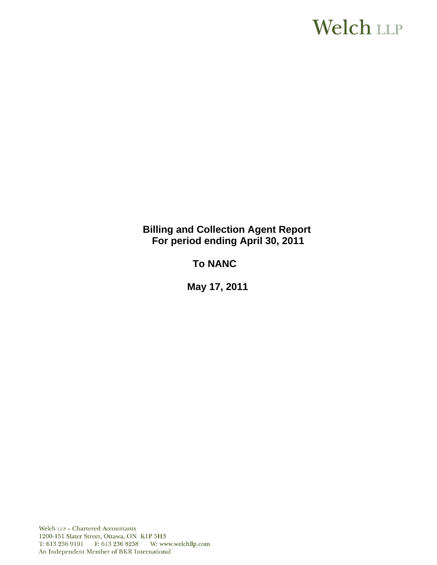# **Welch LLP**

**Billing and Collection Agent Report For period ending April 30, 2011**

 **To NANC** 

 **May 17, 2011**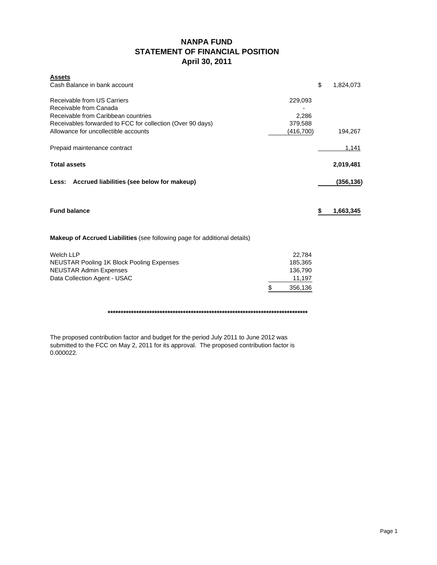# **NANPA FUND STATEMENT OF FINANCIAL POSITION April 30, 2011**

| <b>Assets</b>                                                             |               |                 |
|---------------------------------------------------------------------------|---------------|-----------------|
| Cash Balance in bank account                                              |               | \$<br>1,824,073 |
| Receivable from US Carriers                                               | 229,093       |                 |
| Receivable from Canada                                                    |               |                 |
| Receivable from Caribbean countries                                       | 2,286         |                 |
| Receivables forwarded to FCC for collection (Over 90 days)                | 379,588       |                 |
| Allowance for uncollectible accounts                                      | (416,700)     | 194,267         |
| Prepaid maintenance contract                                              |               | 1,141           |
| <b>Total assets</b>                                                       |               | 2,019,481       |
| Less: Accrued liabilities (see below for makeup)                          |               | (356,136)       |
| <b>Fund balance</b>                                                       |               | \$<br>1,663,345 |
| Makeup of Accrued Liabilities (see following page for additional details) |               |                 |
| <b>Welch LLP</b>                                                          | 22.784        |                 |
| <b>NEUSTAR Pooling 1K Block Pooling Expenses</b>                          | 185,365       |                 |
| <b>NEUSTAR Admin Expenses</b>                                             | 136,790       |                 |
| Data Collection Agent - USAC                                              | 11,197        |                 |
|                                                                           | \$<br>356,136 |                 |

**\*\*\*\*\*\*\*\*\*\*\*\*\*\*\*\*\*\*\*\*\*\*\*\*\*\*\*\*\*\*\*\*\*\*\*\*\*\*\*\*\*\*\*\*\*\*\*\*\*\*\*\*\*\*\*\*\*\*\*\*\*\*\*\*\*\*\*\*\*\*\*\*\*\*\*\*\***

The proposed contribution factor and budget for the period July 2011 to June 2012 was submitted to the FCC on May 2, 2011 for its approval. The proposed contribution factor is 0.000022.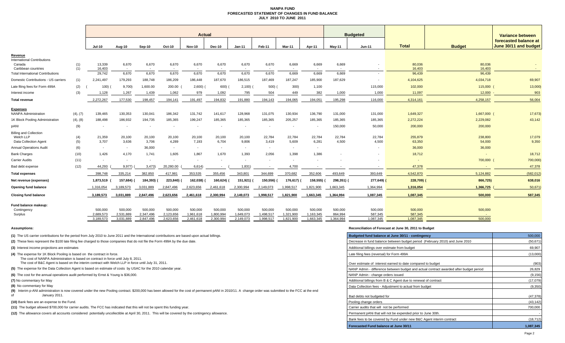### **NANPA FUND FORECASTED STATEMENT OF CHANGES IN FUND BALANCEJULY 2010 TO JUNE 2011**

|                                                                            |            | <b>Actual</b>            |                          |                          |                      |                          |                      |                                   |                          |                          |                          |                                   | <b>Budgeted</b>          |                    |                   |                                                |  |  |
|----------------------------------------------------------------------------|------------|--------------------------|--------------------------|--------------------------|----------------------|--------------------------|----------------------|-----------------------------------|--------------------------|--------------------------|--------------------------|-----------------------------------|--------------------------|--------------------|-------------------|------------------------------------------------|--|--|
|                                                                            |            | Jul-10                   | Aug-10                   | Sep-10                   | Oct-10               | Nov-10                   | Dec-10               | $Jan-11$                          | Feb-11                   | <b>Mar-11</b>            | Apr-11                   | <b>Mav-11</b>                     | <b>Jun-11</b>            | <b>Total</b>       | <b>Budget</b>     | forecasted balance at<br>June 30/11 and budget |  |  |
| Revenue                                                                    |            |                          |                          |                          |                      |                          |                      |                                   |                          |                          |                          |                                   |                          |                    |                   |                                                |  |  |
| <b>International Contributions</b><br>Canada<br>Caribbean countries        | (1)<br>(1) | 13,339<br>16,403         | 6,670<br>$\sim$          | 6,670<br>$\sim$          | 6,670<br>$\sim$      | 6,670<br>$\sim$          | 6,670<br>$\sim$      | 6,670<br>$\overline{\phantom{a}}$ | 6,670<br>$\sim$          | 6,669<br>$\sim$          | 6,669<br>$\sim$          | 6,669<br>$\overline{\phantom{a}}$ |                          | 80,036<br>16,403   | 80,036<br>16,403  |                                                |  |  |
| <b>Total International Contributions</b>                                   |            | 29,742                   | 6,670                    | 6,670                    | 6,670                | 6,670                    | 6,670                | 6,670                             | 6,670                    | 6,669                    | 6,669                    | 6,669                             | $\overline{\phantom{a}}$ | 96,439             | 96,439            |                                                |  |  |
| Domestic Contributions - US carriers                                       | (1)        | 2,241,497                | 179,293                  | 188,748                  | 186,209              | 186,448                  | 187,670              | 186,515                           | 187,469                  | 187,247                  | 185,900                  | 187,629                           |                          | 4,104,625          | 4,034,718         | 69,907                                         |  |  |
| Late filing fees for Form 499A                                             | (2)        | 100)                     | 9,700                    | 1,600.00                 | 200.00               | 2,600                    | 600)                 | 2,100                             | 500)                     | 300)                     | 1,100                    |                                   | 115,000                  | 102,000            | 115,000           | 13,000)                                        |  |  |
| Interest income                                                            | (3)        | 1,128                    | 1,267                    | 1,439                    | 1,062                | 979                      | 1,092                | 795                               | 504                      | 449                      | 382                      | 1,000                             | 1,000                    | 11,097             | 12,000            | 903                                            |  |  |
| <b>Total revenue</b>                                                       |            | 2.272.267                | 177.530                  | 198.457                  | 194.141              | 191.497                  | 194.832              | 191.880                           | 194.143                  | 194.065                  | 194.051                  | 195.298                           | 116,000                  | 4.314.161          | 4.258.157         | 56,004                                         |  |  |
| <b>Expenses</b><br><b>NANPA Administration</b>                             | (4), (7)   | 139,465                  | 130,353                  | 130,041                  | 186,342              | 131,742                  | 141,617              | 128,968                           | 131,075                  | 130,934                  | 136,790                  | 131,000                           | 131,000                  | 1,649,327          | 1,667,000         | 17,673)                                        |  |  |
| 1K Block Pooling Administration                                            | (4), (8)   | 188,498                  | 186,932                  | 194,735                  | 185,365              | 199,247                  | 185,365              | 185,365                           | 185,365                  | 205,257                  | 185,365                  | 185,365                           | 185,365                  | 2,272,224          | 2,229,082         | 43,142                                         |  |  |
| pANI                                                                       | (9)        |                          | $\overline{\phantom{a}}$ | $\overline{\phantom{a}}$ |                      | $\overline{\phantom{a}}$ |                      |                                   | $\overline{\phantom{a}}$ | $\overline{a}$           | $\overline{\phantom{a}}$ | 150,000                           | 50,000                   | 200,000            | 200,000           |                                                |  |  |
| <b>Billing and Collection</b><br>Welch LLP<br><b>Data Collection Agent</b> | (4)<br>(5) | 21,359<br>3,707          | 20,100<br>3,636          | 20,100<br>3,706          | 20,100<br>4,289      | 20,100<br>7,193          | 20,100<br>6,704      | 20,100<br>9,806                   | 22,784<br>3,419          | 22,784<br>5,609          | 22,784<br>6,281          | 22,784<br>4,500                   | 22,784<br>4,500          | 255,879<br>63,350  | 238,800<br>54,000 | 17,079<br>9,350                                |  |  |
| <b>Annual Operations Audit</b>                                             | (6)        | $\sim$                   | $\sim$                   | 36,000                   | $\sim$               | $\sim$                   |                      | $\overline{\phantom{a}}$          | $\sim$                   | $\overline{\phantom{a}}$ | $\overline{\phantom{a}}$ |                                   |                          | 36,000             | 36,000            |                                                |  |  |
| <b>Bank Charges</b>                                                        | (10)       | 1.426                    | 4,170                    | 1.741                    | 1,605                | 1,867                    | 1.670                | 1,393                             | 2,056                    | 1,398                    | 1.386                    |                                   |                          | 18,712             | $\sim$            | 18,712                                         |  |  |
| Carrier Audits                                                             | (11)       | $\overline{\phantom{a}}$ | $\overline{\phantom{a}}$ | $\overline{\phantom{a}}$ |                      | $\overline{\phantom{a}}$ |                      | $\overline{\phantom{a}}$          | $\overline{\phantom{a}}$ |                          |                          |                                   | . .                      | $\overline{a}$     | 700,000           | 700,000)                                       |  |  |
| Bad debt expense                                                           | (12)       | 44,293                   | 9,977)                   | 3,473                    | 20,280.00            | 6,614)                   |                      | 1,831)                            | $\sim$                   | 4,700                    |                          |                                   | $\sim$                   | 47,378             |                   | 47,378                                         |  |  |
| <b>Total expenses</b>                                                      |            | 398,748                  | 335,214                  | 382,850                  | 417,981              | 353,535                  | 355,456              | 343,801                           | 344,699                  | 370,682                  | 352,606                  | 493,649                           | 393,649                  | 4,542,870          | 5,124,882         | (582, 012)                                     |  |  |
| Net revenue (expenses)                                                     |            | 1,873,519                | 157,684)                 | 184,393)                 | 223,840)             | 162,038)                 | 160,624)             | 151,921) (                        | 150,556)                 | 176,617)                 | 158,555)                 | 298,351) (                        | 277,649)                 | 228,709)           | 866,725)          | 638,016                                        |  |  |
| Opening fund balance                                                       |            | 1,316,054                | 3,189,573                | 3,031,889                | 2,847,496            | 2.623.656                | 2,461,618            | 2,300,994                         | 2,149,073                | 1,998,517                | 1,821,900                | 1,663,345                         | 1,364,994                | 1,316,054          | 1,366,725         | 50,671                                         |  |  |
| <b>Closing fund balance</b>                                                |            | 3,189,573                | 3,031,889                | 2,847,496                | 2,623,656            | 2,461,618                | 2,300,994            | 2,149,073                         | 1,998,517                | 1,821,900                | 1,663,345                | 1,364,994                         | 1,087,345                | 1,087,345          | 500,000           | 587,345                                        |  |  |
| Fund balance makeup:<br>Contingency<br>Surplus                             |            | 500,000<br>2,689,573     | 500.000<br>2,531,889     | 500,000<br>2,347,496     | 500,000<br>2,123,656 | 500,000<br>1,961,618     | 500,000<br>1,800,994 | 500,000<br>1,649,073              | 500,000<br>1,498,517     | 500,000<br>1,321,900     | 500,000<br>1,163,345     | 500,000<br>864,994                | 500,000<br>587,345       | 500,000<br>587,345 | 500,000           |                                                |  |  |
|                                                                            |            | 3,189,573                | 3,031,889                | 2,847,496                | 2,623,656            | 2,461,618                | 2,300,994            | 2,149,073                         | 1,998,517                | 1,821,900                | 1,663,345                | 1,364,994                         | 1,087,345                | 1,087,345          | 500,000           |                                                |  |  |

### **(10)** Bank fees are an expense to the Fund.

### **Assumptions: Reconciliation of Forecast at June 30, 2011 to Budget**

| (1) The US carrier contributions for the period from July 2010 to June 2011 and the International contributions are based upon actual billings.                                                                           | Budgeted fund balance at June 30/11 - contingency                                      | 500,000   |
|---------------------------------------------------------------------------------------------------------------------------------------------------------------------------------------------------------------------------|----------------------------------------------------------------------------------------|-----------|
| (2) These fees represent the \$100 late filing fee charged to those companies that do not file the Form 499A by the due date.                                                                                             | Decrease in fund balance between budget period (February 2010) and June 2010           | (50, 671) |
| (3) Interest income projections are estimates                                                                                                                                                                             | Additional billings over estimate from budget                                          | 69,907    |
| (4) The expense for 1K Block Pooling is based on the contract in force.<br>The cost of NANPA Administration is based on contract in force until July 8, 2011.                                                             | Late filing fees (reversal) for Form 499A                                              | (13,000)  |
| The cost of B&C Agent is based on the interim contract with Welch LLP in force until July 31, 2011.                                                                                                                       | Over estimate of interest earned to date compared to budget                            | (903)     |
| (5) The expense for the Data Collection Agent is based on estimate of costs by USAC for the 2010 calendar year.                                                                                                           | NANP Admin - difference between budget and actual contract awarded after budget period | 26,829    |
| (6) The cost for the annual operations audit performed by Ernst & Young is \$36,000.                                                                                                                                      | NANP Admin - change orders issued                                                      | (9, 156)  |
| (7) No commentary for May                                                                                                                                                                                                 | Additional billings from B & C Agent due to renewal of contract                        | (17,079)  |
| (8) No commentary for May                                                                                                                                                                                                 | Data Collection fees - Adiustment to actual from budget                                | (9,350)   |
| (9) Interim p-ANI administration is now covered under the new Pooling contract. \$200,000 has been allowed for the cost of permanent pANI in 2010/11. A change order was submitted to the FCC at the end<br>January 2011. | Bad debts not budgeted for                                                             | (47, 378) |
| (10) Bank fees are an expense to the Fund.                                                                                                                                                                                | Pooling change orders                                                                  | (43, 142) |
| (11) The budget allowed \$700,000 for carrier audits. The FCC has indicated that this will not be spent this funding year.                                                                                                | Carrier audits that will not be performed                                              | 700,000   |
| (12) The allowance covers all accounts considered potentially uncollectible at April 30, 2011. This will be covered by the contingency allowance.                                                                         | Permanent pANi that will not be expended prior to June 30th.                           |           |
|                                                                                                                                                                                                                           | Bank fees to be covered by Fund under new B&C Agent interim contract                   | (18, 712) |
|                                                                                                                                                                                                                           | Forecasted Fund balance at June 30/11                                                  | 1,087,345 |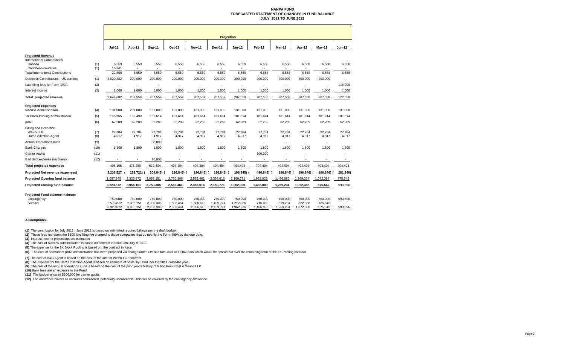### **NANPA FUND FORECASTED STATEMENT OF CHANGES IN FUND BALANCEJULY 2011 TO JUNE 2012**

|                                                                                                                                             |            | <b>Projection</b>         |                          |                 |                          |                          |                          |                                            |                 |                                            |                          |                          |                 |
|---------------------------------------------------------------------------------------------------------------------------------------------|------------|---------------------------|--------------------------|-----------------|--------------------------|--------------------------|--------------------------|--------------------------------------------|-----------------|--------------------------------------------|--------------------------|--------------------------|-----------------|
|                                                                                                                                             |            | <b>Jul-11</b>             | Aug-11                   | <b>Sep-11</b>   | Oct-11                   | <b>Nov-11</b>            | Dec-11                   | $Jan-12$                                   | Feb-12          | Mar-12                                     | Apr-12                   | May-12                   | <b>Jun-12</b>   |
| <b>Projected Revenue</b><br><b>International Contributions</b><br>Canada<br>Caribbean countries<br><b>Total International Contributions</b> | (1)<br>(1) | 6,559<br>16,241<br>22,800 | 6,559<br>$\sim$<br>6,559 | 6,559<br>6,559  | 6,559<br>$\sim$<br>6,559 | 6,559<br>6,559           | 6,559<br>$\sim$<br>6,559 | 6,559<br>$\overline{\phantom{a}}$<br>6,559 | 6,558<br>6,558  | 6,558<br>$\overline{\phantom{a}}$<br>6,558 | 6,558<br>6,558           | 6,558<br>6,558           | 6,558<br>6,558  |
| Domestic Contributions - US carriers                                                                                                        | (1)        | 2,620,882                 | 200,000                  | 200,000         | 200,000                  | 200,000                  | 200,000                  | 200,000                                    | 200,000         | 200,000                                    | 200,000                  | 200,000                  |                 |
| Late filing fees for Form 499A                                                                                                              | (2)        |                           |                          |                 |                          |                          |                          |                                            |                 |                                            |                          | $\overline{\phantom{a}}$ | 115,000         |
| Interest income                                                                                                                             | (3)        | 1,000                     | 1,000                    | 1,000           | 1,000                    | 1,000                    | 1,000                    | 1,000                                      | 1,000           | 1,000                                      | 1,000                    | 1,000                    | 1,000           |
| Total projected revenue                                                                                                                     |            | 2,644,682                 | 207,559                  | 207,559         | 207,559                  | 207,559                  | 207,559                  | 207,559                                    | 207,558         | 207,558                                    | 207,558                  | 207,558                  | 122,558         |
| <b>Projected Expenses</b><br><b>NANPA Administration</b>                                                                                    | (4)        | 131,000                   | 201,000                  | 131,000         | 131,000                  | 131,000                  | 131,000                  | 131,000                                    | 131,000         | 131,000                                    | 131,000                  | 131,000                  | 131,000         |
| 1K Block Pooling Administration                                                                                                             | (5)        | 185,365                   | 183,490                  | 181,614         | 181,614                  | 181,614                  | 181,614                  | 181,614                                    | 181,614         | 181,614                                    | 181,614                  | 181,614                  | 181,614         |
| pANI                                                                                                                                        | (6)        | 62,289                    | 62,289                   | 62,289          | 62,289                   | 62,289                   | 62,289                   | 62,289                                     | 62,289          | 62,289                                     | 62,289                   | 62,289                   | 62,289          |
| <b>Billing and Collection</b><br>Welch LLP<br><b>Data Collection Agent</b>                                                                  | (7)<br>(8) | 22,784<br>4,917           | 22,784<br>4,917          | 22,784<br>4,917 | 22,784<br>4,917          | 22,784<br>4,917          | 22,784<br>4,917          | 22,784<br>4,917                            | 22,784<br>4,917 | 22,784<br>4,917                            | 22,784<br>4,917          | 22,784<br>4,917          | 22.784<br>4,917 |
| <b>Annual Operations Audit</b>                                                                                                              | (9)        | ٠                         | $\blacksquare$           | 38,000          | ٠                        | $\blacksquare$           | ٠                        |                                            | ٠               | ٠                                          |                          | ٠                        |                 |
| <b>Bank Charges</b>                                                                                                                         | (10)       | 1,800                     | 1,800                    | 1,800           | 1,800                    | 1,800                    | 1,800                    | 1,800                                      | 1,800           | 1,800                                      | 1,800                    | 1,800                    | 1,800           |
| <b>Carrier Audits</b>                                                                                                                       | (11)       |                           |                          |                 |                          |                          |                          |                                            | 300,000         |                                            |                          |                          | ٠               |
| Bad debt expense (recovery)                                                                                                                 | (12)       | ٠                         | $\sim$                   | 70,000          | $\blacksquare$           | $\overline{\phantom{a}}$ |                          | $\overline{\phantom{a}}$                   | $\sim$          | $\overline{\phantom{a}}$                   | $\overline{\phantom{a}}$ | $\overline{\phantom{a}}$ |                 |
| <b>Total projected expenses</b>                                                                                                             |            | 408,155                   | 476,280                  | 512,404         | 404,404                  | 404,404                  | 404,404                  | 404,404                                    | 704,404         | 404,404                                    | 404,404                  | 404,404                  | 404,404         |
| Projected Net revenue (expenses)                                                                                                            |            | 2,236,527                 | 268,721) (               | 304,845) (      | 196,845)                 | 196,845)                 | 196,845) (               | 196,845) (                                 | 496,846)        | 196,846) (                                 | 196,846)                 | 196,846)                 | 281,846)        |
| Projected Opening fund balance                                                                                                              |            | 1,087,345                 | 3,323,872                | 3,055,151       | 2,750,306                | 2,553,461                | 2,356,616                | 2,159,771                                  | 1,962,926       | 1,466,080                                  | 1,269,234                | 1,072,388                | 875,542         |
| <b>Projected Closing fund balance</b>                                                                                                       |            | 3,323,872                 | 3,055,151                | 2,750,306       | 2,553,461                | 2,356,616                | 2,159,771                | 1,962,926                                  | 1,466,080       | 1,269,234                                  | 1,072,388                | 875,542                  | 593,696         |
| Projected Fund balance makeup:<br>Contingency                                                                                               |            | 750,000                   | 750,000                  | 750,000         | 750,000                  | 750,000                  | 750,000                  | 750,000                                    | 750,000         | 750,000                                    | 750,000                  | 750,000                  | 593,696         |
| Surplus                                                                                                                                     |            | 2,573,872                 | 2,305,151                | 2,000,306       | 1,803,461                | 1,606,616                | 1,409,771                | 1,212,926                                  | 716,080         | 519,234                                    | 322,388                  | 125,542                  |                 |
|                                                                                                                                             |            | 3.323.872                 | 3.055.151                | 2,750,306       | 2,553,461                | 2,356,616                | 2,159,771                | 1.962.926                                  | ,466,080        | ,269,234                                   | 1,072,388                | 875,542                  | 593.696         |

### **Assumptions:**

**(1)** The contribution for July 2011 - June 2012 is based on estimated required billings per the draft budget.

**(2)** These fees represent the \$100 late filing fee charged to those companies that do not file the Form 499A by the due date.

**(3)** Interest income projections are estimates

**(4)** The cost of NANPA Administration is based on contract in force until July 8, 2011.

**(5)** The expense for the 1K Block Pooling is based on the contract in force.

<sup>(6)</sup> The cost of permanent pANI administration has been proposed via change order #19 at a total cost of \$1,040,906 which would be spread out over the remaining term of the 1K Pooling contract.

**(7)** The cost of B&C Agent is based on the cost of the interim Welch LLP contract.<br>**(8)** The expense for the Data Collection Agent is based on estimate of costs by USAC for the 2011 calendar year.

**(9)** The cost of the annual operations audit is based on the cost of the prior year's history of billing from Ernst & Young LLP

**(10)** Bank fees are an expense to the Fund.

**(11)** The budget allowed \$300,000 for carrier audits.

**(12)** The allowance covers all accounts considered potentially uncollectible. This will be covered by the contingency allowance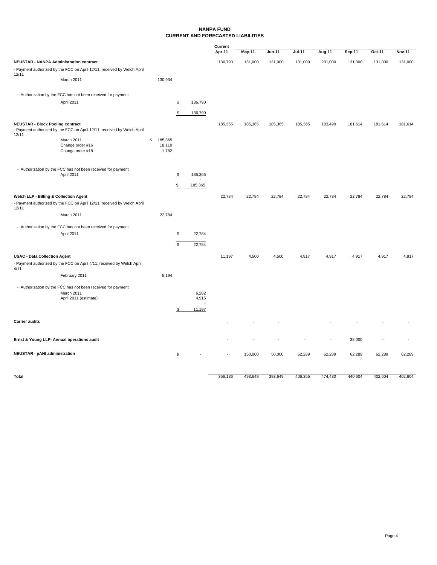### **NANPA FUND CURRENT AND FORECASTED LIABILITIES**

|                                                  |                                                                            |                 |                | Current       |               |         |         |         |         |         |               |
|--------------------------------------------------|----------------------------------------------------------------------------|-----------------|----------------|---------------|---------------|---------|---------|---------|---------|---------|---------------|
|                                                  |                                                                            |                 |                | <b>Apr-11</b> | <b>May-11</b> | Jun-11  | Jul-11  | Aug-11  | Sep-11  | Oct-11  | <b>Nov-11</b> |
| <b>NEUSTAR - NANPA Administration contract</b>   |                                                                            |                 |                | 136,790       | 131,000       | 131,000 | 131,000 | 201,000 | 131,000 | 131,000 | 131,000       |
| 12/11                                            | - Payment authorized by the FCC on April 12/11, received by Welch April    |                 |                |               |               |         |         |         |         |         |               |
|                                                  | March 2011                                                                 | 130,934         |                |               |               |         |         |         |         |         |               |
|                                                  | - Authorization by the FCC has not been received for payment               |                 |                |               |               |         |         |         |         |         |               |
|                                                  | April 2011                                                                 |                 | \$<br>136,790  |               |               |         |         |         |         |         |               |
|                                                  |                                                                            |                 | \$<br>136,790  |               |               |         |         |         |         |         |               |
|                                                  |                                                                            |                 |                |               |               |         |         |         |         |         |               |
| <b>NEUSTAR - Block Pooling contract</b><br>12/11 | - Payment authorized by the FCC on April 12/11, received by Welch April    |                 |                | 185,365       | 185,365       | 185,365 | 185,365 | 183,490 | 181,614 | 181,614 | 181,614       |
|                                                  | March 2011                                                                 | \$<br>185,365   |                |               |               |         |         |         |         |         |               |
|                                                  | Change order #16<br>Change order #18                                       | 18,110<br>1,782 |                |               |               |         |         |         |         |         |               |
|                                                  |                                                                            |                 |                |               |               |         |         |         |         |         |               |
|                                                  | - Authorization by the FCC has not been received for payment<br>April 2011 |                 | \$<br>185,365  |               |               |         |         |         |         |         |               |
|                                                  |                                                                            |                 |                |               |               |         |         |         |         |         |               |
|                                                  |                                                                            |                 | \$<br>185,365  |               |               |         |         |         |         |         |               |
| Welch LLP - Billing & Collection Agent           |                                                                            |                 |                | 22,784        | 22,784        | 22,784  | 22,784  | 22,784  | 22,784  | 22,784  | 22,784        |
| 12/11                                            | - Payment authorized by the FCC on April 12/11, received by Welch April    |                 |                |               |               |         |         |         |         |         |               |
|                                                  | March 2011                                                                 | 22,784          |                |               |               |         |         |         |         |         |               |
|                                                  | - Authorization by the FCC has not been received for payment               |                 |                |               |               |         |         |         |         |         |               |
|                                                  | April 2011                                                                 |                 | \$<br>22,784   |               |               |         |         |         |         |         |               |
|                                                  |                                                                            |                 | \$<br>22,784   |               |               |         |         |         |         |         |               |
| <b>USAC - Data Collection Agent</b>              |                                                                            |                 |                | 11,197        | 4,500         | 4,500   | 4,917   | 4,917   | 4,917   | 4,917   | 4,917         |
|                                                  | - Payment authorized by the FCC on April 4/11, received by Welch April     |                 |                |               |               |         |         |         |         |         |               |
| 4/11                                             |                                                                            |                 |                |               |               |         |         |         |         |         |               |
|                                                  | February 2011                                                              | 5,194           |                |               |               |         |         |         |         |         |               |
|                                                  | - Authorization by the FCC has not been received for payment               |                 |                |               |               |         |         |         |         |         |               |
|                                                  | March 2011<br>April 2011 (estimate)                                        |                 | 6,282<br>4,915 |               |               |         |         |         |         |         |               |
|                                                  |                                                                            |                 | ٠.             |               |               |         |         |         |         |         |               |
|                                                  |                                                                            |                 | \$<br>11,197   |               |               |         |         |         |         |         |               |
| <b>Carrier audits</b>                            |                                                                            |                 |                |               |               |         |         |         |         |         |               |
|                                                  | Ernst & Young LLP- Annual operations audit                                 |                 |                |               |               |         |         |         | 38,000  |         |               |
| <b>NEUSTAR - pANI administration</b>             |                                                                            |                 | $\sim$         |               | 150,000       | 50,000  | 62,289  | 62,289  | 62,289  | 62,289  | 62,289        |
|                                                  |                                                                            |                 | \$             |               |               |         |         |         |         |         |               |
| <b>Total</b>                                     |                                                                            |                 |                | 356,136       | 493,649       | 393,649 | 406,355 | 474,480 | 440,604 | 402,604 | 402,604       |